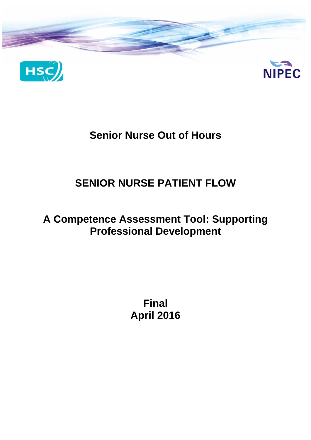

# **Senior Nurse Out of Hours**

# **SENIOR NURSE PATIENT FLOW**

# **A Competence Assessment Tool: Supporting Professional Development**

**Final April 2016**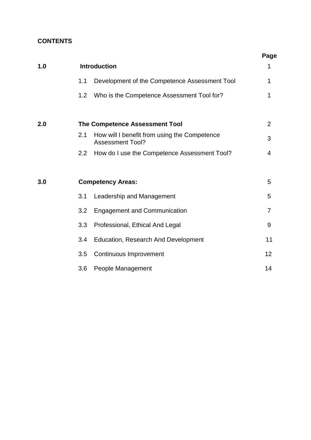# **CONTENTS**

|     |     |                                                                         | Page           |
|-----|-----|-------------------------------------------------------------------------|----------------|
| 1.0 |     | <b>Introduction</b>                                                     | 1              |
|     | 1.1 | Development of the Competence Assessment Tool                           | 1              |
|     | 1.2 | Who is the Competence Assessment Tool for?                              | 1              |
| 2.0 |     | <b>The Competence Assessment Tool</b>                                   | $\overline{2}$ |
|     | 2.1 | How will I benefit from using the Competence<br><b>Assessment Tool?</b> | 3              |
|     | 2.2 | How do I use the Competence Assessment Tool?                            | 4              |
|     |     |                                                                         |                |
| 3.0 |     | <b>Competency Areas:</b>                                                | 5              |
|     | 3.1 | Leadership and Management                                               | 5              |
|     | 3.2 | <b>Engagement and Communication</b>                                     | $\overline{7}$ |
|     | 3.3 | Professional, Ethical And Legal                                         | 9              |
|     | 3.4 | <b>Education, Research And Development</b>                              | 11             |
|     | 3.5 | Continuous Improvement                                                  | 12             |
|     | 3.6 | People Management                                                       | 14             |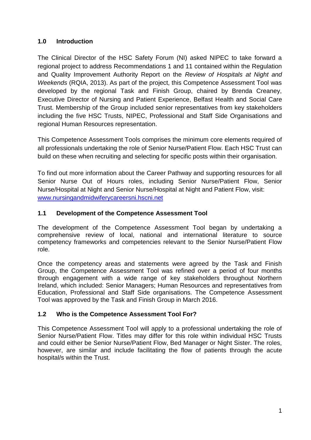# **1.0 Introduction**

The Clinical Director of the HSC Safety Forum (NI) asked NIPEC to take forward a regional project to address Recommendations 1 and 11 contained within the Regulation and Quality Improvement Authority Report on the *Review of Hospitals at Night and Weekends* (RQIA, 2013). As part of the project, this Competence Assessment Tool was developed by the regional Task and Finish Group, chaired by Brenda Creaney, Executive Director of Nursing and Patient Experience, Belfast Health and Social Care Trust. Membership of the Group included senior representatives from key stakeholders including the five HSC Trusts, NIPEC, Professional and Staff Side Organisations and regional Human Resources representation.

This Competence Assessment Tools comprises the minimum core elements required of all professionals undertaking the role of Senior Nurse/Patient Flow. Each HSC Trust can build on these when recruiting and selecting for specific posts within their organisation.

To find out more information about the Career Pathway and supporting resources for all Senior Nurse Out of Hours roles, including Senior Nurse/Patient Flow, Senior Nurse/Hospital at Night and Senior Nurse/Hospital at Night and Patient Flow, visit: [www.nursingandmidwiferycareersni.hscni.net](http://www.nursingandmidwiferycareersni.hscni.net/)

# **1.1 Development of the Competence Assessment Tool**

The development of the Competence Assessment Tool began by undertaking a comprehensive review of local, national and international literature to source competency frameworks and competencies relevant to the Senior Nurse/Patient Flow role.

Once the competency areas and statements were agreed by the Task and Finish Group, the Competence Assessment Tool was refined over a period of four months through engagement with a wide range of key stakeholders throughout Northern Ireland, which included: Senior Managers; Human Resources and representatives from Education, Professional and Staff Side organisations. The Competence Assessment Tool was approved by the Task and Finish Group in March 2016.

# **1.2 Who is the Competence Assessment Tool For?**

This Competence Assessment Tool will apply to a professional undertaking the role of Senior Nurse/Patient Flow. Titles may differ for this role within individual HSC Trusts and could either be Senior Nurse/Patient Flow, Bed Manager or Night Sister. The roles, however, are similar and include facilitating the flow of patients through the acute hospital/s within the Trust.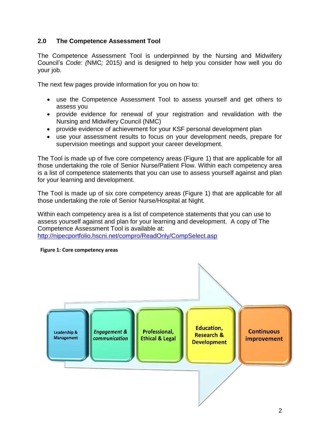## **2.0 The Competence Assessment Tool**

The Competence Assessment Tool is underpinned by the Nursing and Midwifery Council's *Code: (*NMC*;* 2015*)* and is designed to help you consider how well you do your job.

The next few pages provide information for you on how to:

- use the Competence Assessment Tool to assess yourself and get others to assess you
- provide evidence for renewal of your registration and revalidation with the Nursing and Midwifery Council (NMC)
- provide evidence of achievement for your KSF personal development plan
- use your assessment results to focus on your development needs, prepare for supervision meetings and support your career development.

The Tool is made up of five core competency areas (Figure 1) that are applicable for all those undertaking the role of Senior Nurse/Patient Flow. Within each competency area is a list of competence statements that you can use to assess yourself against and plan for your learning and development.

The Tool is made up of six core competency areas (Figure 1) that are applicable for all those undertaking the role of Senior Nurse/Hospital at Night.

Within each competency area is a list of competence statements that you can use to assess yourself against and plan for your learning and development. A copy of The Competence Assessment Tool is available at:

<http://nipecportfolio.hscni.net/compro/ReadOnly/CompSelect.asp>



**Figure 1: Core competency areas**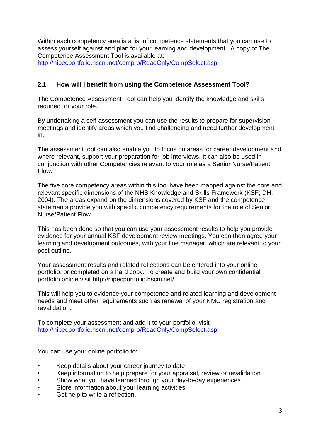Within each competency area is a list of competence statements that you can use to assess yourself against and plan for your learning and development. A copy of The Competence Assessment Tool is available at: <http://nipecportfolio.hscni.net/compro/ReadOnly/CompSelect.asp>

#### **2.1 How will I benefit from using the Competence Assessment Tool?**

The Competence Assessment Tool can help you identify the knowledge and skills required for your role.

By undertaking a self-assessment you can use the results to prepare for supervision meetings and identify areas which you find challenging and need further development in.

The assessment tool can also enable you to focus on areas for career development and where relevant, support your preparation for job interviews. It can also be used in conjunction with other Competencies relevant to your role as a Senior Nurse/Patient Flow.

The five core competency areas within this tool have been mapped against the core and relevant specific dimensions of the NHS Knowledge and Skills Framework (KSF; DH, 2004). The areas expand on the dimensions covered by KSF and the competence statements provide you with specific competency requirements for the role of Senior Nurse/Patient Flow.

This has been done so that you can use your assessment results to help you provide evidence for your annual KSF development review meetings. You can then agree your learning and development outcomes, with your line manager, which are relevant to your post outline.

Your assessment results and related reflections can be entered into your online portfolio, or completed on a hard copy. To create and build your own confidential portfolio online visit http://nipecportfolio.hscni.net/

This will help you to evidence your competence and related learning and development needs and meet other requirements such as renewal of your NMC registration and revalidation.

To complete your assessment and add it to your portfolio, visit <http://nipecportfolio.hscni.net/compro/ReadOnly/CompSelect.asp>

You can use your online portfolio to:

- Keep details about your career journey to date
- Keep information to help prepare for your appraisal, review or revalidation
- Show what you have learned through your day-to-day experiences
- Store information about your learning activities
- Get help to write a reflection.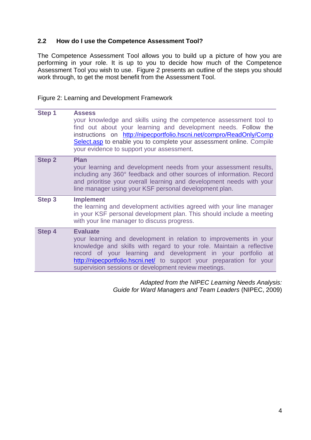#### **2.2 How do I use the Competence Assessment Tool?**

The Competence Assessment Tool allows you to build up a picture of how you are performing in your role. It is up to you to decide how much of the Competence Assessment Tool you wish to use. Figure 2 presents an outline of the steps you should work through, to get the most benefit from the Assessment Tool.

Figure 2: Learning and Development Framework

| Step 1        | <b>Assess</b><br>your knowledge and skills using the competence assessment tool to<br>find out about your learning and development needs. Follow the<br>instructions on http://nipecportfolio.hscni.net/compro/ReadOnly/Comp<br>Select.asp to enable you to complete your assessment online. Compile<br>your evidence to support your assessment.             |
|---------------|---------------------------------------------------------------------------------------------------------------------------------------------------------------------------------------------------------------------------------------------------------------------------------------------------------------------------------------------------------------|
| <b>Step 2</b> | <b>Plan</b><br>your learning and development needs from your assessment results,<br>including any 360° feedback and other sources of information. Record<br>and prioritise your overall learning and development needs with your<br>line manager using your KSF personal development plan.                                                                    |
| Step 3        | <b>Implement</b><br>the learning and development activities agreed with your line manager<br>in your KSF personal development plan. This should include a meeting<br>with your line manager to discuss progress.                                                                                                                                              |
| Step 4        | <b>Evaluate</b><br>your learning and development in relation to improvements in your<br>knowledge and skills with regard to your role. Maintain a reflective<br>record of your learning and development in your portfolio at<br>http://nipecportfolio.hscni.net/ to support your preparation for your<br>supervision sessions or development review meetings. |

*Adapted from the NIPEC Learning Needs Analysis: Guide for Ward Managers and Team Leaders* (NIPEC, 2009)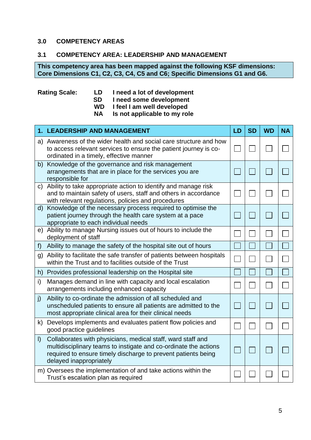#### **3.0 COMPETENCY AREAS**

#### **3.1 COMPETENCY AREA: LEADERSHIP AND MANAGEMENT**

**This competency area has been mapped against the following KSF dimensions: Core Dimensions C1, C2, C3, C4, C5 and C6; Specific Dimensions G1 and G6.**

## **Rating Scale: LD I need a lot of development**

- **SD I need some development**
- **WD I feel I am well developed**
- **Is not applicable to my role**

|              | 1. LEADERSHIP AND MANAGEMENT                                                                                                                                                                                                | LD | <b>SD</b> | <b>WD</b> | <b>NA</b> |
|--------------|-----------------------------------------------------------------------------------------------------------------------------------------------------------------------------------------------------------------------------|----|-----------|-----------|-----------|
|              | a) Awareness of the wider health and social care structure and how<br>to access relevant services to ensure the patient journey is co-<br>ordinated in a timely, effective manner                                           |    |           |           |           |
|              | b) Knowledge of the governance and risk management<br>arrangements that are in place for the services you are<br>responsible for                                                                                            |    |           |           |           |
|              | c) Ability to take appropriate action to identify and manage risk<br>and to maintain safety of users, staff and others in accordance<br>with relevant regulations, policies and procedures                                  |    |           |           |           |
| $\mathsf{d}$ | Knowledge of the necessary process required to optimise the<br>patient journey through the health care system at a pace<br>appropriate to each individual needs                                                             |    |           |           |           |
|              | e) Ability to manage Nursing issues out of hours to include the<br>deployment of staff                                                                                                                                      |    |           |           |           |
| f            | Ability to manage the safety of the hospital site out of hours                                                                                                                                                              |    |           |           |           |
|              | g) Ability to facilitate the safe transfer of patients between hospitals<br>within the Trust and to facilities outside of the Trust                                                                                         |    |           |           |           |
|              | h) Provides professional leadership on the Hospital site                                                                                                                                                                    |    |           |           |           |
| i)           | Manages demand in line with capacity and local escalation<br>arrangements including enhanced capacity                                                                                                                       |    |           |           |           |
| j)           | Ability to co-ordinate the admission of all scheduled and<br>unscheduled patients to ensure all patients are admitted to the<br>most appropriate clinical area for their clinical needs                                     |    |           |           |           |
| k)           | Develops implements and evaluates patient flow policies and<br>good practice guidelines                                                                                                                                     |    |           |           |           |
| $\vert$      | Collaborates with physicians, medical staff, ward staff and<br>multidisciplinary teams to instigate and co-ordinate the actions<br>required to ensure timely discharge to prevent patients being<br>delayed inappropriately |    |           |           |           |
|              | m) Oversees the implementation of and take actions within the<br>Trust's escalation plan as required                                                                                                                        |    |           |           |           |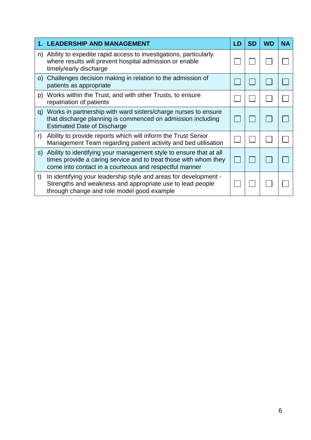|    | 1. LEADERSHIP AND MANAGEMENT                                                                                                                                                                     | LD | <b>SD</b> | <b>WD</b> | ΝA |
|----|--------------------------------------------------------------------------------------------------------------------------------------------------------------------------------------------------|----|-----------|-----------|----|
|    | n) Ability to expedite rapid access to investigations, particularly<br>where results will prevent hospital admission or enable<br>timely/early discharge                                         |    |           |           |    |
|    | o) Challenges decision making in relation to the admission of<br>patients as appropriate                                                                                                         |    |           |           |    |
| p) | Works within the Trust, and with other Trusts, to ensure<br>repatriation of patients                                                                                                             |    |           |           |    |
|    | q) Works in partnership with ward sisters/charge nurses to ensure<br>that discharge planning is commenced on admission including<br><b>Estimated Date of Discharge</b>                           |    |           |           |    |
| r) | Ability to provide reports which will inform the Trust Senior<br>Management Team regarding patient activity and bed utilisation                                                                  |    |           |           |    |
| S) | Ability to identifying your management style to ensure that at all<br>times provide a caring service and to treat those with whom they<br>come into contact in a courteous and respectful manner |    |           |           |    |
| t) | In identifying your leadership style and areas for development -<br>Strengths and weakness and appropriate use to lead people<br>through change and role model good example                      |    |           |           |    |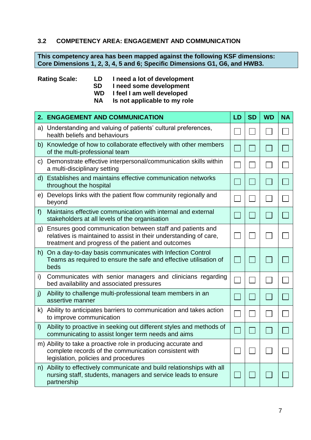## **3.2 COMPETENCY AREA: ENGAGEMENT AND COMMUNICATION**

**This competency area has been mapped against the following KSF dimensions: Core Dimensions 1, 2, 3, 4, 5 and 6; Specific Dimensions G1, G6, and HWB3.**

#### **Rating Scale: LD I need a lot of development**

 **SD I need some development** 

**WD I feel I am well developed**

**NA Is not applicable to my role**

|              | 2. ENGAGEMENT AND COMMUNICATION                                                                                                                                                      | LD | <b>SD</b> | <b>WD</b> | <b>NA</b> |
|--------------|--------------------------------------------------------------------------------------------------------------------------------------------------------------------------------------|----|-----------|-----------|-----------|
|              | a) Understanding and valuing of patients' cultural preferences,<br>health beliefs and behaviours                                                                                     |    |           |           |           |
|              | b) Knowledge of how to collaborate effectively with other members<br>of the multi-professional team                                                                                  |    |           |           |           |
|              | c) Demonstrate effective interpersonal/communication skills within<br>a multi-disciplinary setting                                                                                   |    |           |           |           |
|              | d) Establishes and maintains effective communication networks<br>throughout the hospital                                                                                             |    |           |           |           |
|              | e) Develops links with the patient flow community regionally and<br>beyond                                                                                                           |    |           |           |           |
| f)           | Maintains effective communication with internal and external<br>stakeholders at all levels of the organisation                                                                       |    |           |           |           |
| g)           | Ensures good communication between staff and patients and<br>relatives is maintained to assist in their understanding of care,<br>treatment and progress of the patient and outcomes |    |           |           |           |
|              | h) On a day-to-day basis communicates with Infection Control<br>Teams as required to ensure the safe and effective utilisation of<br>beds                                            |    |           |           |           |
| i)           | Communicates with senior managers and clinicians regarding<br>bed availability and associated pressures                                                                              |    |           |           |           |
| $\mathbf{j}$ | Ability to challenge multi-professional team members in an<br>assertive manner                                                                                                       |    |           |           |           |
|              | k) Ability to anticipates barriers to communication and takes action<br>to improve communication                                                                                     |    |           |           |           |
| $\vert$      | Ability to proactive in seeking out different styles and methods of<br>communicating to assist longer term needs and aims                                                            |    |           |           |           |
|              | m) Ability to take a proactive role in producing accurate and<br>complete records of the communication consistent with<br>legislation, policies and procedures                       |    |           |           |           |
|              | n) Ability to effectively communicate and build relationships with all<br>nursing staff, students, managers and service leads to ensure<br>partnership                               |    |           |           |           |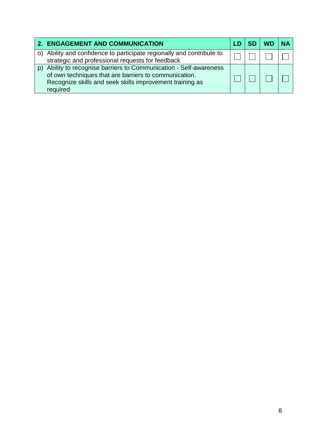| 2. ENGAGEMENT AND COMMUNICATION                                                                                                                                                                  |  |  |
|--------------------------------------------------------------------------------------------------------------------------------------------------------------------------------------------------|--|--|
| o) Ability and confidence to participate regionally and contribute to<br>strategic and professional requests for feedback                                                                        |  |  |
| Ability to recognise barriers to Communication - Self-awareness<br>of own techniques that are barriers to communication.<br>Recognize skills and seek skills improvement training as<br>required |  |  |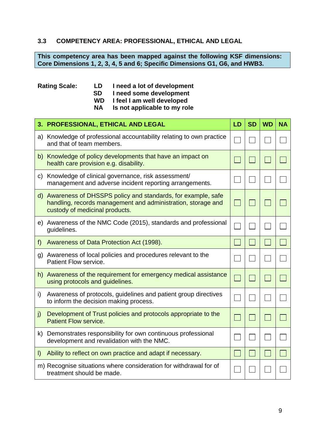## **3.3 COMPETENCY AREA: PROFESSIONAL, ETHICAL AND LEGAL**

**This competency area has been mapped against the following KSF dimensions: Core Dimensions 1, 2, 3, 4, 5 and 6; Specific Dimensions G1, G6, and HWB3.**

#### **Rating Scale: LD I need a lot of development SD I need some development**

- 
- **WD I feel I am well developed Is not applicable to my role**

|         | 3. PROFESSIONAL, ETHICAL AND LEGAL                                                                                                                               | LD | <b>SD</b>                   | <b>WD</b> | <b>NA</b> |
|---------|------------------------------------------------------------------------------------------------------------------------------------------------------------------|----|-----------------------------|-----------|-----------|
|         | a) Knowledge of professional accountability relating to own practice<br>and that of team members.                                                                |    |                             |           |           |
|         | b) Knowledge of policy developments that have an impact on<br>health care provision e.g. disability.                                                             |    |                             |           |           |
|         | c) Knowledge of clinical governance, risk assessment/<br>management and adverse incident reporting arrangements.                                                 |    |                             |           |           |
|         | d) Awareness of DHSSPS policy and standards, for example, safe<br>handling, records management and administration, storage and<br>custody of medicinal products. |    | $\sim$                      |           |           |
|         | e) Awareness of the NMC Code (2015), standards and professional<br>guidelines.                                                                                   |    |                             |           |           |
| f)      | Awareness of Data Protection Act (1998).                                                                                                                         |    | $\mathcal{L}_{\mathcal{A}}$ |           |           |
|         | g) Awareness of local policies and procedures relevant to the<br>Patient Flow service.                                                                           |    |                             |           |           |
|         | h) Awareness of the requirement for emergency medical assistance<br>using protocols and guidelines.                                                              |    |                             |           |           |
| i)      | Awareness of protocols, guidelines and patient group directives<br>to inform the decision making process.                                                        |    |                             |           |           |
| j)      | Development of Trust policies and protocols appropriate to the<br><b>Patient Flow service.</b>                                                                   |    | $\mathcal{L}_{\mathcal{A}}$ |           |           |
|         | k) Demonstrates responsibility for own continuous professional<br>development and revalidation with the NMC.                                                     |    |                             |           |           |
| $\vert$ | Ability to reflect on own practice and adapt if necessary.                                                                                                       |    | $\sim$                      |           |           |
|         | m) Recognise situations where consideration for withdrawal for of<br>treatment should be made.                                                                   |    |                             |           |           |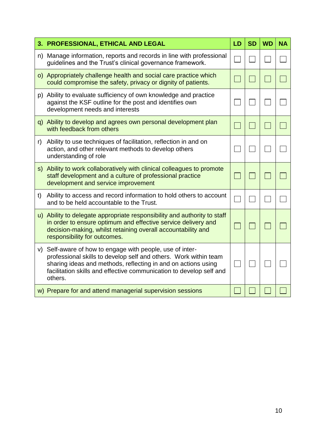|    | 3. PROFESSIONAL, ETHICAL AND LEGAL                                                                                                                                                                                                                                            | LD | <b>SD</b> | <b>WD</b> | <b>NA</b> |
|----|-------------------------------------------------------------------------------------------------------------------------------------------------------------------------------------------------------------------------------------------------------------------------------|----|-----------|-----------|-----------|
|    | n) Manage information, reports and records in line with professional<br>guidelines and the Trust's clinical governance framework.                                                                                                                                             |    |           |           |           |
|    | o) Appropriately challenge health and social care practice which<br>could compromise the safety, privacy or dignity of patients.                                                                                                                                              |    |           |           |           |
|    | p) Ability to evaluate sufficiency of own knowledge and practice<br>against the KSF outline for the post and identifies own<br>development needs and interests                                                                                                                |    |           |           |           |
|    | q) Ability to develop and agrees own personal development plan<br>with feedback from others                                                                                                                                                                                   |    |           |           |           |
| r) | Ability to use techniques of facilitation, reflection in and on<br>action, and other relevant methods to develop others<br>understanding of role                                                                                                                              |    |           |           |           |
|    | s) Ability to work collaboratively with clinical colleagues to promote<br>staff development and a culture of professional practice<br>development and service improvement                                                                                                     |    |           |           |           |
| t) | Ability to access and record information to hold others to account<br>and to be held accountable to the Trust.                                                                                                                                                                |    |           |           |           |
|    | u) Ability to delegate appropriate responsibility and authority to staff<br>in order to ensure optimum and effective service delivery and<br>decision-making, whilst retaining overall accountability and<br>responsibility for outcomes.                                     |    |           |           |           |
| V) | Self-aware of how to engage with people, use of inter-<br>professional skills to develop self and others. Work within team<br>sharing ideas and methods, reflecting in and on actions using<br>facilitation skills and effective communication to develop self and<br>others. |    |           |           |           |
|    | w) Prepare for and attend managerial supervision sessions                                                                                                                                                                                                                     |    |           |           |           |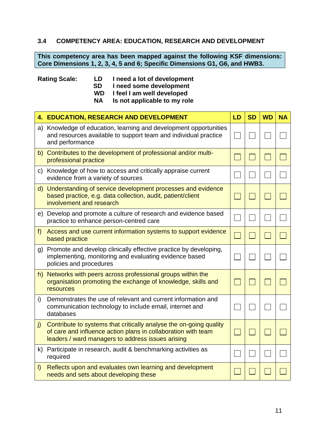## **3.4 COMPETENCY AREA: EDUCATION, RESEARCH AND DEVELOPMENT**

**This competency area has been mapped against the following KSF dimensions: Core Dimensions 1, 2, 3, 4, 5 and 6; Specific Dimensions G1, G6, and HWB3.**

#### **Rating Scale: LD I need a lot of development**

 **SD I need some development** 

**WD I feel I am well developed**

**NA Is not applicable to my role**

|              | <b>4. EDUCATION, RESEARCH AND DEVELOPMENT</b>                                                                                                                                            | LD | <b>SD</b> | <b>WD</b> | <b>NA</b> |
|--------------|------------------------------------------------------------------------------------------------------------------------------------------------------------------------------------------|----|-----------|-----------|-----------|
|              | a) Knowledge of education, learning and development opportunities<br>and resources available to support team and individual practice<br>and performance                                  |    |           |           |           |
|              | b) Contributes to the development of professional and/or multi-<br>professional practice                                                                                                 |    |           |           |           |
|              | c) Knowledge of how to access and critically appraise current<br>evidence from a variety of sources                                                                                      |    |           |           |           |
|              | d) Understanding of service development processes and evidence<br>based practice, e.g. data collection, audit, patient/client<br>involvement and research                                |    |           |           |           |
|              | e) Develop and promote a culture of research and evidence based<br>practice to enhance person-centred care                                                                               |    |           |           |           |
| $f$ )        | Access and use current information systems to support evidence<br>based practice                                                                                                         |    |           |           |           |
| g)           | Promote and develop clinically effective practice by developing,<br>implementing, monitoring and evaluating evidence based<br>policies and procedures                                    |    |           |           |           |
| h)           | Networks with peers across professional groups within the<br>organisation promoting the exchange of knowledge, skills and<br>resources                                                   |    |           |           |           |
| i)           | Demonstrates the use of relevant and current information and<br>communication technology to include email, internet and<br>databases                                                     |    |           |           |           |
| $\mathbf{j}$ | Contribute to systems that critically analyse the on-going quality<br>of care and influence action plans in collaboration with team<br>leaders / ward managers to address issues arising |    |           |           |           |
| k)           | Participate in research, audit & benchmarking activities as<br>required                                                                                                                  |    |           |           |           |
| $\vert$      | Reflects upon and evaluates own learning and development<br>needs and sets about developing these                                                                                        |    |           |           |           |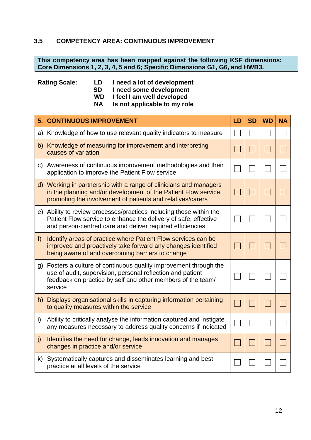## **3.5 COMPETENCY AREA: CONTINUOUS IMPROVEMENT**

**This competency area has been mapped against the following KSF dimensions: Core Dimensions 1, 2, 3, 4, 5 and 6; Specific Dimensions G1, G6, and HWB3.**

#### **Rating Scale: LD I need a lot of development SD** I need some development<br>
WD I feel I am well developed **I** feel I am well developed **NA Is not applicable to my role**

|       | <b>5. CONTINUOUS IMPROVEMENT</b>                                                                                                                                                                        | LD | <b>SD</b> | <b>WD</b> | <b>NA</b> |
|-------|---------------------------------------------------------------------------------------------------------------------------------------------------------------------------------------------------------|----|-----------|-----------|-----------|
| a)    | Knowledge of how to use relevant quality indicators to measure                                                                                                                                          |    |           |           |           |
|       | b) Knowledge of measuring for improvement and interpreting<br>causes of variation                                                                                                                       |    |           |           |           |
|       | c) Awareness of continuous improvement methodologies and their<br>application to improve the Patient Flow service                                                                                       |    |           |           |           |
|       | d) Working in partnership with a range of clinicians and managers<br>in the planning and/or development of the Patient Flow service,<br>promoting the involvement of patients and relatives/carers      |    |           |           |           |
|       | e) Ability to review processes/practices including those within the<br>Patient Flow service to enhance the delivery of safe, effective<br>and person-centred care and deliver required efficiencies     |    |           |           |           |
| $f$ ) | Identify areas of practice where Patient Flow services can be<br>improved and proactively take forward any changes identified<br>being aware of and overcoming barriers to change                       |    |           |           |           |
| g)    | Fosters a culture of continuous quality improvement through the<br>use of audit, supervision, personal reflection and patient<br>feedback on practice by self and other members of the team/<br>service |    |           |           |           |
|       | h) Displays organisational skills in capturing information pertaining<br>to quality measures within the service                                                                                         |    |           |           |           |
| i)    | Ability to critically analyse the information captured and instigate<br>any measures necessary to address quality concerns if indicated                                                                 |    |           |           |           |
| j)    | Identifies the need for change, leads innovation and manages<br>changes in practice and/or service                                                                                                      |    |           |           |           |
| k)    | Systematically captures and disseminates learning and best<br>practice at all levels of the service                                                                                                     |    |           |           |           |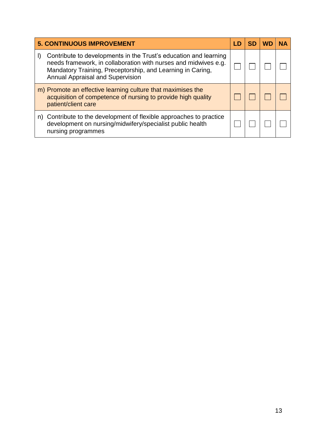| <b>5. CONTINUOUS IMPROVEMENT</b>                                                                                                                                                                                                      | I D | <b>SD</b> | <b>WD</b> | <b>NA</b> |
|---------------------------------------------------------------------------------------------------------------------------------------------------------------------------------------------------------------------------------------|-----|-----------|-----------|-----------|
| Contribute to developments in the Trust's education and learning<br>needs framework, in collaboration with nurses and midwives e.g.<br>Mandatory Training, Preceptorship, and Learning in Caring,<br>Annual Appraisal and Supervision |     |           |           |           |
| m) Promote an effective learning culture that maximises the<br>acquisition of competence of nursing to provide high quality<br>patient/client care                                                                                    |     |           |           |           |
| n) Contribute to the development of flexible approaches to practice<br>development on nursing/midwifery/specialist public health<br>nursing programmes                                                                                |     |           |           |           |